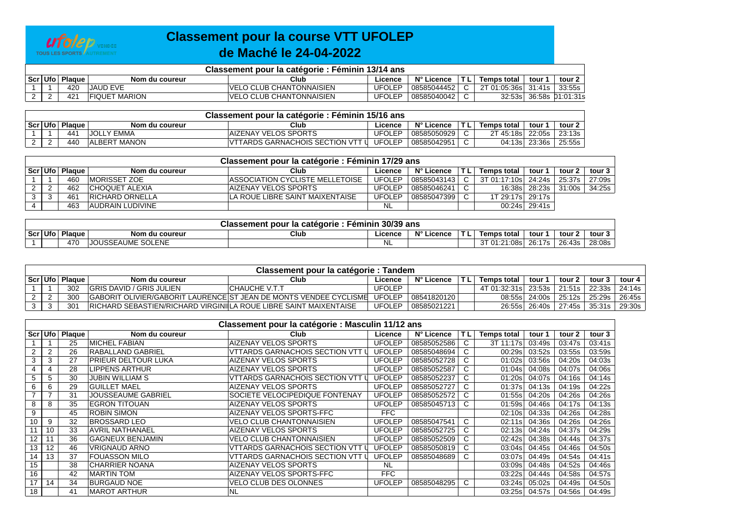

## **Classement pour la course VTT UFOLEP de Maché le 24-04-2022**

| Classement pour la catégorie : Féminin 13/14 ans |                 |                      |                                  |               |             |  |                      |      |                         |  |  |  |
|--------------------------------------------------|-----------------|----------------------|----------------------------------|---------------|-------------|--|----------------------|------|-------------------------|--|--|--|
| Scr Ufo                                          | <b>Plague</b>   | Nom du coureur       | Club                             | ∟icence       | N° Licence  |  | Temps total          | tour | tour 2                  |  |  |  |
|                                                  | 42C             | <b>JAUD EVE</b>      | <b>IVELO CLUB CHANTONNAISIEN</b> | JFOLEP        | 08585044452 |  | 2T 01:05:36sl 31:41s |      | 33:55s                  |  |  |  |
|                                                  | 42 <sup>1</sup> | <b>FIQUET MARION</b> | <u> VELO CLUB CHANTONNAISIEN</u> | <b>JFOLEP</b> | 08585040042 |  |                      |      | 32:53s 36:58s 01:01:31s |  |  |  |

| Classement pour la catégorie : Féminin 15/16 ans |               |                      |                                          |               |             |    |                    |               |        |  |  |  |  |
|--------------------------------------------------|---------------|----------------------|------------------------------------------|---------------|-------------|----|--------------------|---------------|--------|--|--|--|--|
| Scr Ufo                                          | <b>Plague</b> | Nom du coureur       | Club                                     | Licence       | N° Licence  | TL | <b>Temps total</b> | tour 1        | tour 2 |  |  |  |  |
|                                                  | 441           | <b>JOLLY EMMA</b>    | IAIZENAY VELOS SPORTS                    | <b>UFOLEP</b> | 08585050929 |    | 2T 45:18s 22:05s । |               | 23:13s |  |  |  |  |
|                                                  | 440           | <b>IALBERT MANON</b> | <b>IVTTARDS GARNACHOIS SECTION VTT L</b> | <b>UFOLEP</b> | 08585042951 |    |                    | 04:13s 23:36s | 25:55s |  |  |  |  |

| Classement pour la catégorie : Féminin 17/29 ans |          |               |                         |                                 |               |                 |            |                                   |               |        |                 |  |  |
|--------------------------------------------------|----------|---------------|-------------------------|---------------------------------|---------------|-----------------|------------|-----------------------------------|---------------|--------|-----------------|--|--|
|                                                  | Scr Ufol | <b>Plaque</b> | Nom du coureur          | Club                            | Licence       | N° Licence      | <b>TLI</b> | Temps total                       | tour '        | tour 2 | tour 3 l        |  |  |
|                                                  |          | 460           | IMORISSET ZOE           | ASSOCIATION CYCLISTE MELLETOISE | <b>UFOLEP</b> | 08585043143   C |            | 3T 01:17:10s 24:24s 25:37s 27:09s |               |        |                 |  |  |
|                                                  | $\sim$   | 462           | <b>CHOQUET ALEXIA</b>   | IAIZENAY VELOS SPORTS           | UFOLEP        | 08585046241     |            |                                   | 16:38s 28:23s |        | 31:00s   34:25s |  |  |
|                                                  | ົ        | 461           | <b>IRICHARD ORNELLA</b> | LA ROUE LIBRE SAINT MAIXENTAISE | UFOLEP        | 08585047399     |            | 1T 29:17s 29:17s                  |               |        |                 |  |  |
|                                                  |          | 463           | AUDRAIN LUDIVINE        |                                 | <b>NL</b>     |                 |            |                                   | 00:24s 29:41s |        |                 |  |  |

| 30/39 ans<br><b>Classement pour</b><br>Feminin<br>* la catégorie |                 |                                               |      |         |                  |  |                       |        |        |        |  |  |  |
|------------------------------------------------------------------|-----------------|-----------------------------------------------|------|---------|------------------|--|-----------------------|--------|--------|--------|--|--|--|
| Scr Ufo                                                          | Plaque          | Nom du coureur                                | Club | ∟icence | N° Li<br>Licence |  | Temps total           | tour   | tour 2 | tour 3 |  |  |  |
|                                                                  | 47 <sub>C</sub> | SOLENE<br><b>AUME</b><br>0.0001<br>. - : ΓΔΙ' |      | - NL    |                  |  | 1:08s<br>$\cdot$<br>. | 26:17s | 26:43s | 28:08s |  |  |  |

| Classement pour la catégorie : Tandem |               |                                                                         |                                                                                        |               |             |  |                     |               |                          |                 |        |  |
|---------------------------------------|---------------|-------------------------------------------------------------------------|----------------------------------------------------------------------------------------|---------------|-------------|--|---------------------|---------------|--------------------------|-----------------|--------|--|
| ∣ Scr⊺Ufo I                           | <b>Plague</b> | Nom du coureur                                                          | Club                                                                                   | Licence       | N° Licence  |  | <b>Temps total</b>  | tour 1        | tour 2                   | tour ა          | tour 4 |  |
|                                       | 302           | <b>GRIS DAVID / GRIS JULIEN</b>                                         | CHAUCHE V.T.T                                                                          | <b>UFOLEP</b> |             |  | 4T 01:32:31s 23:53s |               |                          | 21:51s 22:33s l | 24:14s |  |
|                                       | 300           |                                                                         | GABORIT OLIVIER/GABORIT LAURENCE ST JEAN DE MONTS VENDEE CYCLISME UFOLEP   08541820120 |               |             |  |                     | 08:55s 24:00s | 25:12s   25:29s   26:45s |                 |        |  |
|                                       | 301           | <b>RICHARD SEBASTIEN/RICHARD VIRGINILA ROUE LIBRE SAINT MAIXENTAISE</b> |                                                                                        | UFOLEP        | 08585021221 |  |                     | 26:55s 26:40s | 27:45s                   | 35:31s l        | 29:30s |  |

|                | Classement pour la catégorie : Masculin 11/12 ans |               |                            |                                         |               |             |    |             |        |        |        |  |  |  |
|----------------|---------------------------------------------------|---------------|----------------------------|-----------------------------------------|---------------|-------------|----|-------------|--------|--------|--------|--|--|--|
| Scr            | Ufo                                               | <b>Plaque</b> | Nom du coureur             | Club                                    | Licence       | N° Licence  | ΤL | Temps total | tour 1 | tour 2 | tour 3 |  |  |  |
|                |                                                   | 25            | <b>IMICHEL FABIAN</b>      | AIZENAY VELOS SPORTS                    | <b>UFOLEP</b> | 08585052586 |    | 3T 11:17s   | 03:49s | 03:47s | 03:41s |  |  |  |
| $\overline{2}$ | $\overline{2}$                                    | 26            | RABALLAND GABRIEL          | <b>VTTARDS GARNACHOIS SECTION VTT I</b> | <b>UFOLEP</b> | 08585048694 |    | 00:29s      | 03:52s | 03:55s | 03:59s |  |  |  |
| 3              | 3                                                 | 27            | <b>PRIEUR DELTOUR LUKA</b> | <b>AIZENAY VELOS SPORTS</b>             | <b>UFOLEP</b> | 08585052728 |    | 01:02s      | 03:56s | 04:20s | 04:03s |  |  |  |
| 4              | 4                                                 | 28            | <b>IPPENS ARTHUR</b>       | <b>AIZENAY VELOS SPORTS</b>             | <b>UFOLEP</b> | 08585052587 |    | 01:04s      | 04:08s | 04:07s | 04:06s |  |  |  |
| 5.             | 5                                                 | 30            | <b>JUBIN WILLIAM S</b>     | VTTARDS GARNACHOIS SECTION VTT I        | <b>UFOLEP</b> | 08585052237 |    | 01:20s      | 04:07s | 04:16s | 04:14s |  |  |  |
| 6              | 6                                                 | 29            | <b>GUILLET MAEL</b>        | <b>AIZENAY VELOS SPORTS</b>             | <b>UFOLEP</b> | 08585052727 |    | 01:37s      | 04:13s | 04:19s | 04:22s |  |  |  |
|                |                                                   | 31            | <b>JOUSSEAUME GABRIEL</b>  | SOCIETE VELOCIPEDIQUE FONTENAY          | <b>UFOLEP</b> | 08585052572 |    | 01:55s      | 04:20s | 04:26s | 04:26s |  |  |  |
| 8              | 8                                                 | 35            | <b>IEGRON TITOUAN</b>      | AIZENAY VELOS SPORTS                    | <b>UFOLEP</b> | 08585045713 |    | 01:59s      | 04:46s | 04:17s | 04:13s |  |  |  |
| 9              |                                                   | 45            | <b>ROBIN SIMON</b>         | AIZENAY VELOS SPORTS-FFC                | FFC.          |             |    | 02:10s      | 04:33s | 04:26s | 04:28s |  |  |  |
| 10             | 9                                                 | 32            | <b>BROSSARD LEO</b>        | <b>VELO CLUB CHANTONNAISIEN</b>         | <b>UFOLEP</b> | 08585047541 |    | 02:11s      | 04:36s | 04:26s | 04:26s |  |  |  |
| 11             | 10                                                | 33            | AVRIL NATHANAEL            | <b>AIZENAY VELOS SPORTS</b>             | <b>UFOLEP</b> | 08585052725 |    | 02:13s      | 04:24s | 04:37s | 04:29s |  |  |  |
| 12             | 11                                                | 36            | <b>GAGNEUX BENJAMIN</b>    | <b>VELO CLUB CHANTONNAISIEN</b>         | <b>UFOLEP</b> | 08585052509 |    | 02:42s      | 04:38s | 04:44s | 04:37s |  |  |  |
| 13             | 12                                                | 46            | <b>VRIGNAUD ARNO</b>       | <b>VTTARDS GARNACHOIS SECTION VTT I</b> | <b>UFOLEP</b> | 08585050819 |    | 03:04s      | 04:45s | 04:46s | 04:50s |  |  |  |
| 14             | 13                                                | 37            | FOUASSON MILO              | VTTARDS GARNACHOIS SECTION VTT L        | <b>UFOLEP</b> | 08585048689 |    | 03:07s      | 04:49s | 04:54s | 04:41s |  |  |  |
| 15             |                                                   | 38            | <b>ICHARRIER NOANA</b>     | <b>AIZENAY VELOS SPORTS</b>             | <b>NL</b>     |             |    | 03:09s      | 04:48s | 04:52s | 04:46s |  |  |  |
| 16             |                                                   | 42            | <b>MARTIN TOM</b>          | AIZENAY VELOS SPORTS-FFC                | <b>FFC</b>    |             |    | 03:22s      | 04:44s | 04:58s | 04:57s |  |  |  |
| 17             | 14                                                | 34            | <b>BURGAUD NOE</b>         | <b>VELO CLUB DES OLONNES</b>            | <b>UFOLEP</b> | 08585048295 |    | 03:24s      | 05:02s | 04:49s | 04:50s |  |  |  |
| 18             |                                                   | 41            | <b>MAROT ARTHUR</b>        | <b>NL</b>                               |               |             |    | 03:25s      | 04:57s | 04:56s | 04:49s |  |  |  |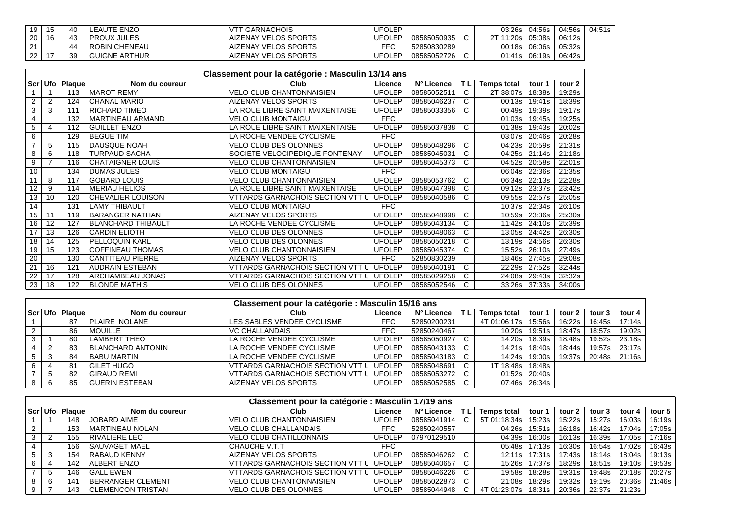| 19 | 15            | 40 | LEAUTE ENZO           | <sup>-</sup> GARNACHOIS      | <b>UFOLEP</b> |                | 03:26s     | 04:56s | 04:56s | 04:51s |
|----|---------------|----|-----------------------|------------------------------|---------------|----------------|------------|--------|--------|--------|
| 20 | 16            | 43 | <b>PROUX JULES</b>    | <b>IAIZENAY VELOS SPORTS</b> | UFOLEP        | 08585050935    | 2T 11:20sl | 05:08s | 06:12s |        |
|    |               | 44 | <b>ROBIN CHENEAU</b>  | <b>IAIZENAY VELOS SPORTS</b> | FFC           | 52850830289    | 00:18sl    | 06:06s | 05:32s |        |
| 22 | $\rightarrow$ | 39 | <b>IGUIGNE ARTHUR</b> | <b>AIZENAY VELOS SPORTS</b>  | UFOLEP        | '08585052726 l | 01:41s     | 06:19s | 06:42s |        |

|                          | Classement pour la catégorie : Masculin 13/14 ans<br>Club |               |                           |                                         |               |             |     |                    |        |        |  |  |  |  |
|--------------------------|-----------------------------------------------------------|---------------|---------------------------|-----------------------------------------|---------------|-------------|-----|--------------------|--------|--------|--|--|--|--|
| Scr                      | <b>Ufo</b>                                                | <b>Plaque</b> | Nom du coureur            |                                         | Licence       | N° Licence  | TL. | <b>Temps total</b> | tour 1 | tour 2 |  |  |  |  |
|                          |                                                           | 113           | <b>MAROT REMY</b>         | <b>VELO CLUB CHANTONNAISIEN</b>         | <b>UFOLEP</b> | 08585052511 |     | 2T 38:07s          | 18:38s | 19:29s |  |  |  |  |
| 2                        | 2                                                         | 124           | <b>CHANAL MARIO</b>       | <b>AIZENAY VELOS SPORTS</b>             | <b>UFOLEP</b> | 08585046237 | C.  | 00:13s             | 19:41s | 18:39s |  |  |  |  |
| 3                        | 3                                                         | 111           | <b>RICHARD TIMEO</b>      | LA ROUE LIBRE SAINT MAIXENTAISE         | <b>UFOLEP</b> | 08585033356 | C   | 00:49s             | 19:39s | 19:17s |  |  |  |  |
| 4                        |                                                           | 132           | <b>MARTINEAU ARMAND</b>   | <b>VELO CLUB MONTAIGU</b>               | <b>FFC</b>    |             |     | 01:03s             | 19:45s | 19:25s |  |  |  |  |
| 5                        | 4                                                         | 112           | <b>GUILLET ENZO</b>       | LA ROUE LIBRE SAINT MAIXENTAISE         | <b>UFOLEP</b> | 08585037838 | C   | 01:38s             | 19:43s | 20:02s |  |  |  |  |
| 6                        |                                                           | 129           | <b>BEGUE TIM</b>          | LA ROCHE VENDEE CYCLISME                | <b>FFC</b>    |             |     | 03:07s             | 20:46s | 20:28s |  |  |  |  |
| $\overline{\phantom{a}}$ | 5                                                         | 115           | <b>DAUSQUE NOAH</b>       | <b>VELO CLUB DES OLONNES</b>            | <b>UFOLEP</b> | 08585048296 | C   | 04:23s             | 20:59s | 21:31s |  |  |  |  |
| 8                        | 6                                                         | 118           | <b>TURPAUD SACHA</b>      | SOCIETE VELOCIPEDIQUE FONTENAY          | <b>UFOLEP</b> | 08585045031 | С   | 04:25s             | 21:14s | 21:18s |  |  |  |  |
| 9                        | 7                                                         | 116           | <b>CHATAIGNER LOUIS</b>   | <b>VELO CLUB CHANTONNAISIEN</b>         | <b>UFOLEP</b> | 08585045373 | C   | 04:52s             | 20:58s | 22:01s |  |  |  |  |
| 10                       |                                                           | 134           | <b>DUMAS JULES</b>        | <b>VELO CLUB MONTAIGU</b>               | <b>FFC</b>    |             |     | 06:04s             | 22:36s | 21:35s |  |  |  |  |
| 11                       | 8                                                         | 117           | <b>GOBARD LOUIS</b>       | <b>VELO CLUB CHANTONNAISIEN</b>         | <b>UFOLEP</b> | 08585053762 | C   | 06:34s             | 22:13s | 22:28s |  |  |  |  |
| 12                       | 9                                                         | 114           | <b>MERIAU HELIOS</b>      | LA ROUE LIBRE SAINT MAIXENTAISE         | <b>UFOLEP</b> | 08585047398 | C   | 09:12s             | 23:37s | 23:42s |  |  |  |  |
| 13                       | 10                                                        | 120           | <b>CHEVALIER LOUISON</b>  | VTTARDS GARNACHOIS SECTION VTT I        | <b>UFOLEP</b> | 08585040586 | C.  | 09:55s             | 22:57s | 25:05s |  |  |  |  |
| 14                       |                                                           | 131           | LAMY THIBAULT             | <b>VELO CLUB MONTAIGU</b>               | <b>FFC</b>    |             |     | 10:37s             | 22:34s | 26:10s |  |  |  |  |
| 15                       | 11                                                        | 119           | <b>BARANGER NATHAN</b>    | AIZENAY VELOS SPORTS                    | <b>UFOLEP</b> | 08585048998 | C.  | 10:59s             | 23:36s | 25:30s |  |  |  |  |
| 16                       | 12                                                        | 127           | <b>BLANCHARD THIBAULT</b> | LA ROCHE VENDEE CYCLISME                | <b>UFOLEP</b> | 08585043134 | C.  | 11:42s             | 24:10s | 25:39s |  |  |  |  |
| 17                       | 13                                                        | 126           | <b>CARDIN ELIOTH</b>      | VELO CLUB DES OLONNES                   | <b>UFOLEP</b> | 08585048063 |     | 13:05s             | 24:42s | 26:30s |  |  |  |  |
| 18                       | 14                                                        | 125           | <b>PELLOQUIN KARL</b>     | VELO CLUB DES OLONNES                   | <b>UFOLEP</b> | 08585050218 | C   | 13:19s             | 24:56s | 26:30s |  |  |  |  |
| 19                       | 15                                                        | 123           | <b>COFFINEAU THOMAS</b>   | <b>VELO CLUB CHANTONNAISIEN</b>         | UFOLEP        | 08585045374 | С   | 15:52s             | 26:10s | 27:49s |  |  |  |  |
| 20                       |                                                           | 130           | <b>CANTITEAU PIERRE</b>   | <b>AIZENAY VELOS SPORTS</b>             | <b>FFC</b>    | 52850830239 |     | 18:46s             | 27:45s | 29:08s |  |  |  |  |
| 21                       | 16                                                        | 121           | <b>AUDRAIN ESTEBAN</b>    | <b>VTTARDS GARNACHOIS SECTION VTT I</b> | <b>UFOLEP</b> | 08585040191 | C   | 22:29s             | 27:52s | 32:44s |  |  |  |  |
| 22                       | 17                                                        | 128           | ARCHAMBEAU JONAS          | <b>VTTARDS GARNACHOIS SECTION VTT I</b> | <b>UFOLEP</b> | 08585029258 | C   | 24:08s             | 29:43s | 32:32s |  |  |  |  |
| 23                       | 18                                                        | 122           | <b>BLONDE MATHIS</b>      | <b>VELO CLUB DES OLONNES</b>            | <b>UFOLEP</b> | 08585052546 |     | 33:26s             | 37:33s | 34:00s |  |  |  |  |

| Classement pour la catégorie : Masculin 15/16 ans |  |  |  |  |  |
|---------------------------------------------------|--|--|--|--|--|
|---------------------------------------------------|--|--|--|--|--|

|  | Scr   Ufo   Plaque | Nom du coureur           | Club                                    | Licence       | N° Licence  | TL. | <b>Temps total</b> | tour 1 | tour 2  | tour 3 | tour 4        |  |
|--|--------------------|--------------------------|-----------------------------------------|---------------|-------------|-----|--------------------|--------|---------|--------|---------------|--|
|  | 87                 | PLAIRE NOLANE            | <b>ILES SABLES VENDEE CYCLISME</b>      | FFC.          | 52850200231 |     | 4T 01:06:17sl      | 15:56s | 16:22s  | 16:45s | 17:14s        |  |
|  | 86                 | <b>IMOUILLE</b>          | VC CHALLANDAIS                          | <b>FFC</b>    | 52850240467 |     | 10:20s             | 19:51s | 18:47s  | 18:57s | 19:02s        |  |
|  | 80                 | <b>LAMBERT THEO</b>      | LA ROCHE VENDEE CYCLISME                | <b>UFOLEP</b> | 08585050927 |     | 14:20s             | 18:39s | 18:48s  | 19:52s | 23:18s        |  |
|  | 83                 | <b>BLANCHARD ANTONIN</b> | LA ROCHE VENDEE CYCLISME                | <b>UFOLEP</b> | 08585043133 |     | 14:21s             | 18:40s | 18:44s  | 19:57s | 23:17s        |  |
|  | 84                 | <b>BABU MARTIN</b>       | LA ROCHE VENDEE CYCLISME                | <b>UFOLEP</b> | 08585043183 |     | 14:24s             | 19:00s | 19:37s丨 |        | 20:48s 21:16s |  |
|  | 81                 | <b>GILET HUGO</b>        | VTTARDS GARNACHOIS SECTION VTT U        | <b>UFOLEP</b> | 08585048691 |     | 1T 18:48s          | 18:48s |         |        |               |  |
|  | 82                 | IGIRAUD REMI             | <b>VTTARDS GARNACHOIS SECTION VTT U</b> | <b>UFOLEP</b> | 08585053272 |     | 01:52s             | 20:40s |         |        |               |  |
|  | 85                 | <b>GUERIN ESTEBAN</b>    | AIZENAY VELOS SPORTS                    | <b>UFOLEP</b> | 08585052585 |     | 07:46sl            | 26:34s |         |        |               |  |

| Classement pour la catégorie : Masculin 17/19 ans |               |               |                           |                                  |               |             |  |                    |        |        |        |        |        |
|---------------------------------------------------|---------------|---------------|---------------------------|----------------------------------|---------------|-------------|--|--------------------|--------|--------|--------|--------|--------|
|                                                   | ∣ Scr ∣ Ufo l | <b>Plaque</b> | Nom du coureur            | Club                             | Licence       | N° Licence  |  | <b>Temps total</b> | tour 1 | tour 2 | tour 3 | tour 4 | tour 5 |
|                                                   |               | 148           | <b>JOBARD AIME</b>        | <b>VELO CLUB CHANTONNAISIEN</b>  | <b>UFOLEP</b> | 08585041914 |  | 5T 01:18:34s       | 15:23s | 15:22s | 15:27s | 16:03s | 16:19s |
|                                                   |               | 153           | <b>MARTINEAU NOLAN</b>    | <b>VELO CLUB CHALLANDAIS</b>     | FFC.          | 52850240557 |  | 04:26s             | 15:51s | 16:18s | 16:42s | 17:04s | 17:05s |
| 3                                                 |               | 155           | <b>RIVALIERE LEO</b>      | <b>VELO CLUB CHATILLONNAIS</b>   | <b>UFOLEP</b> | 07970129510 |  | 04:39s             | 16:00s | 16:13s | 16:39s | 17:05s | 17:16s |
|                                                   |               | 156           | <b>SAUVAGET MAEL</b>      | CHAUCHE V.T.T                    | <b>FFC</b>    |             |  | 05:48s             | 17:13s | 16:30s | 16:54s | 17:02s | 16:43s |
|                                                   |               | 154           | RABAUD KENNY              | AIZENAY VELOS SPORTS             | <b>UFOLEP</b> | 08585046262 |  | 12:11s             | 17:31s | 17:43s | 18:14s | 18:04s | 19:13s |
| 6                                                 |               | 142           | IALBERT ENZO              | VTTARDS GARNACHOIS SECTION VTT L | <b>UFOLEP</b> | 08585040657 |  | 15:26s             | 17:37s | 18:29s | 18:51s | 19:10s | 19:53s |
|                                                   |               | 146           | <b>GALL EWEN</b>          | VTTARDS GARNACHOIS SECTION VTT I | <b>UFOLEP</b> | 08585046226 |  | 19:58s             | 18:28s | 19:31s | 19:48s | 20:18s | 20:27s |
| 8                                                 |               | 14'           | BERRANGER CLEMENT         | <b>VELO CLUB CHANTONNAISIEN</b>  | <b>UFOLEP</b> | 08585022873 |  | 21:08s             | 18:29s | 19:32s | 19:19s | 20:36s | 21:46s |
| 9                                                 |               | 143           | <b>ICLEMENCON TRISTAN</b> | <b>VELO CLUB DES OLONNES</b>     | <b>UFOLEP</b> | 08585044948 |  | 4T 01:23:07s       | 18:31s | 20:36s | 22:37s | 21:23s |        |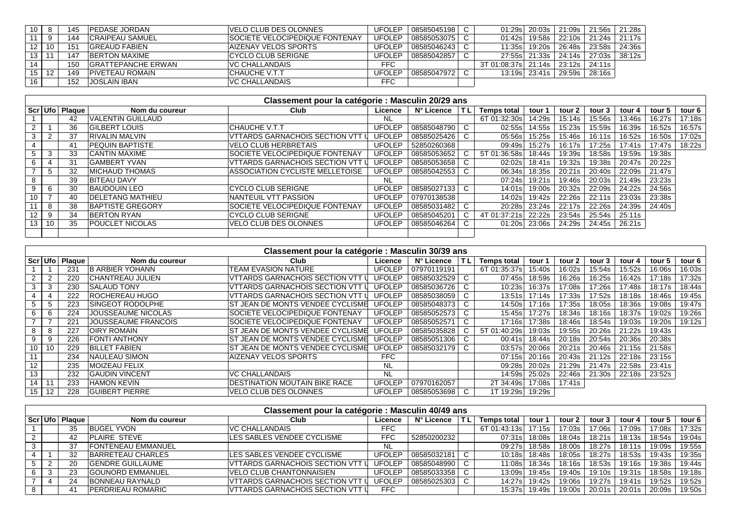| 10 | 8  | 145 | <b>PEDASE JORDAN</b>       | IVELO CLUB DES OLONNES                | <b>UFOLEP</b> | 08585045198 |                     | 01:29sl 20:03s l | 21:09s | 21:56s l | 21:28s          |
|----|----|-----|----------------------------|---------------------------------------|---------------|-------------|---------------------|------------------|--------|----------|-----------------|
|    | 9  | 44  | <b>CRAIPEAU SAMUEL</b>     | <b>SOCIETE VELOCIPEDIQUE FONTENAY</b> | UFOLEP        | 08585053075 | 01:42sl             | 19:58s           | 22:10s |          | 21:24s 21:17s l |
| 12 | 10 | 151 | <b>GREAUD FABIEN</b>       | <b>AIZENAY VELOS SPORTS</b>           | <b>UFOLEP</b> | 08585046243 | 11:35sl             | 19:20s           | 26:48s | 23:58s   | 24:36s          |
| 13 | 11 | 147 | <b>BERTON MAXIME</b>       | <b>CYCLO CLUB SERIGNE</b>             | <b>UFOLEP</b> | 08585042857 |                     | 27:55sl 21:33s   | 24:14s | 27:03s   | 38:12s          |
| 14 |    | 150 | <b>IGRATTEPANCHE ERWAN</b> | IVC CHALLANDAIS                       | <b>FFC</b>    |             | 3T 01:08:37s 21:14s |                  | 23:12s | 24:11s   |                 |
| 15 | 12 | 149 | <b>PIVETEAU ROMAIN</b>     | CHAUCHE V.T.T                         | UFOLEP        | 08585047972 |                     | 13:19s 23:41s    | 29:59s | 28:16s   |                 |
| 16 |    | 152 | IJOSLAIN IBAN              | VC CHALLANDAIS                        | <b>FFC</b>    |             |                     |                  |        |          |                 |

|                      | Classement pour la catégorie : Masculin 20/29 ans |        |                          |                                  |               |             |    |                    |        |        |        |        |        |        |
|----------------------|---------------------------------------------------|--------|--------------------------|----------------------------------|---------------|-------------|----|--------------------|--------|--------|--------|--------|--------|--------|
| Scr Ufol             |                                                   | Plague | Nom du coureur           | Club                             | Licence       | N° Licence  | ΤL | <b>Temps total</b> | tour 1 | tour 2 | tour 3 | tour 4 | tour 5 | tour 6 |
|                      |                                                   | 42     | <b>VALENTIN GUILLAUD</b> |                                  | NL.           |             |    | 6T 01:32:30s       | 14:29s | 15:14s | 15:56s | 13:46s | 16:27s | 17:18s |
| $\mathbf{2}^{\circ}$ |                                                   | 36     | <b>GILBERT LOUIS</b>     | CHAUCHE V.T.T                    | <b>UFOLEP</b> | 08585048790 |    | 02:55s             | 14:55s | 15:23s | 15:59s | 16:39s | 16:52s | 16:57s |
|                      | $\overline{2}$                                    | 37     | IRIVALIN MALVIN          | VTTARDS GARNACHOIS SECTION VTT U | <b>UFOLEP</b> | 08585025426 | C  | 05:56sl            | 15:25s | 15:46s | 16:11s | 16:52s | 16:50s | 17:02s |
|                      |                                                   | 41     | <b>PEQUIN BAPTISTE</b>   | <b>VELO CLUB HERBRETAIS</b>      | <b>UFOLEP</b> | 52850260368 |    | 09:49sl            | 15:27s | 16:17s | 17:25s | 17:41s | 17:47s | 18:22s |
|                      | 3                                                 | 33     | <b>CANTIN MAXIME</b>     | SOCIETE VELOCIPEDIQUE FONTENAY   | <b>UFOLEP</b> | 08585053652 | C  | 5T 01:36:58s       | 18:44s | 19:39s | 18:58s | 19:59s | 19:38s |        |
| 6                    |                                                   | 31     | GAMBERT YVAN             | VITARDS GARNACHOIS SECTION VTT U | <b>UFOLEP</b> | 08585053658 |    | 02:02s             | 18:41s | 19:32s | 19:38s | 20:47s | 20:22s |        |
|                      | 5                                                 | 32     | <b>IMICHAUD THOMAS</b>   | ASSOCIATION CYCLISTE MELLETOISE  | <b>UFOLEP</b> | 08585042553 | C  | 06:34sl            | 18:35s | 20:21s | 20:40s | 22:09s | 21:47s |        |
|                      |                                                   | 39     | <b>BITEAU DAVY</b>       |                                  | NL            |             |    | 07:24s             | 19:21s | 19:46s | 20:03s | 21:49s | 23:23s |        |
|                      | 6                                                 | 30     | <b>BAUDOUIN LEO</b>      | <b>CYCLO CLUB SERIGNE</b>        | <b>UFOLEP</b> | 08585027133 | C. | 14:01sl            | 19:00s | 20:32s | 22:09s | 24:22s | 24:56s |        |
| 10                   |                                                   | 40     | <b>IDELETANG MATHIEU</b> | NANTEUIL VTT PASSION             | <b>UFOLEP</b> | 07970138538 |    | 14:02sl            | 19:42s | 22:26s | 22:11s | 23:03s | 23:38s |        |
|                      | 8                                                 | 38     | BAPTISTE GREGORY         | SOCIETE VELOCIPEDIQUE FONTENAY   | <b>UFOLEP</b> | 08585031482 | C. | 20:28sl            | 23:24s | 22:17s | 22:26s | 24:39s | 24:40s |        |
| 12 <sup>2</sup>      | 9                                                 | 34     | <b>BERTON RYAN</b>       | CYCLO CLUB SERIGNE               | <b>UFOLEP</b> | 08585045201 | C  | 4T 01:37:21s       | 22:22s | 23:54s | 25:54s | 25:11s |        |        |
| 13 <sub>1</sub>      | 10                                                | 35     | <b>POUCLET NICOLAS</b>   | <b>VELO CLUB DES OLONNES</b>     | <b>UFOLEP</b> | 08585046264 |    | 01:20sl            | 23:06s | 24:29s | 24:45s | 26:21s |        |        |
|                      |                                                   |        |                          |                                  |               |             |    |                    |        |        |        |        |        |        |

|                 | Classement pour la catégorie : Masculin 30/39 ans |                    |                            |                                         |               |             |    |                    |               |        |        |        |        |        |
|-----------------|---------------------------------------------------|--------------------|----------------------------|-----------------------------------------|---------------|-------------|----|--------------------|---------------|--------|--------|--------|--------|--------|
|                 |                                                   | Scr   Ufo   Plaque | Nom du coureur             | Club                                    | Licence       | N° Licence  | ΤL | <b>Temps total</b> | tour 1        | tour 2 | tour 3 | tour 4 | tour 5 | tour 6 |
|                 |                                                   | 231                | <b>B ARBIER YOHANN</b>     | TEAM EVASION NATURE                     | <b>UFOLEP</b> | 07970119191 |    | 6T 01:35:37s       | 15:40s        | 16:02s | 15:54s | 15:52s | 16:06s | 16:03s |
| $\overline{2}$  |                                                   | 220                | <b>CHANTREAU JULIEN</b>    | VTTARDS GARNACHOIS SECTION VTT          | <b>UFOLEP</b> | 08585032529 |    | 07:45sl            | 18:59s        | 16:26s | 16:25s | 16:42s | 17:18s | 17:32s |
| 3               | 3                                                 | 230                | <b>SALAUD TONY</b>         | <u>IVTTARDS GARNACHOIS SECTION VTT</u>  | <b>UFOLEP</b> | 08585036726 |    | 10:23s             | 16:37s        | 17:08s | 17:26s | 17:48s | 18:17s | 18:44s |
|                 |                                                   | 222                | <b>ROCHEREAU HUGO</b>      | VTTARDS GARNACHOIS SECTION VTT U        | <b>UFOLEP</b> | 08585038059 | C  |                    | 13:51s 17:14s | 17:33s | 17:52s | 18:18s | 18:46s | 19:45s |
| 5               |                                                   | 223                | <b>SINGEOT RODOLPHE</b>    | <b>ST JEAN DE MONTS VENDEE CYCLISME</b> | <b>UFOLEP</b> | 08585048373 |    | 14:50sl            | 17:16s        | 17:35s | 18:05s | 18:36s | 19:08s | 19:47s |
| 6               | 6                                                 | 224                | <b>JOUSSEAUME NICOLAS</b>  | <b>SOCIETE VELOCIPEDIQUE FONTENAY</b>   | <b>UFOLEP</b> | 08585052573 |    | 15:45sl            | 17:27s        | 18:34s | 18:16s | 18:37s | 19:02s | 19:26s |
|                 |                                                   | 221                | <b>JOUSSEAUME FRANCOIS</b> | <b>SOCIETE VELOCIPEDIQUE FONTENAY</b>   | <b>UFOLEP</b> | 08585052571 |    | 17:16sl            | 17:38s        | 18:46s | 18:54s | 19:03s | 19:20s | 19:12s |
| 8               |                                                   | 227                | <b>OIRY ROMAIN</b>         | IST JEAN DE MONTS VENDEE CYCLISME       | <b>UFOLEP</b> | 08585035828 |    | 5T 01:40:29s       | 19:03s        | 19:55s | 20:26s | 21:22s | 19:43s |        |
| 9               | 9                                                 | 226                | <b>FONTI ANTHONY</b>       | IST JEAN DE MONTS VENDEE CYCLISME       | <b>UFOLEP</b> | 08585051306 | C  | 00:41sl            | 18:44s        | 20:18s | 20:54s | 20:36s | 20:38s |        |
| 10 <sub>1</sub> | 10                                                | 229                | <b>BILLET FABIEN</b>       | <b>ST JEAN DE MONTS VENDEE CYCLISME</b> | <b>UFOLEP</b> | 08585032179 | C. | 03:57s             | 20:06s        | 20:21s | 20:46s | 21:15s | 21:58s |        |
| 11              |                                                   | 234                | <b>NAULEAU SIMON</b>       | AIZENAY VELOS SPORTS                    | <b>FFC</b>    |             |    | 07:15sl            | 20:16s        | 20:43s | 21:12s | 22:18s | 23:15s |        |
| 12              |                                                   | 235                | <b>IMOIZEAU FELIX</b>      |                                         | <b>NL</b>     |             |    | 09:28sl            | 20:02s        | 21:29s | 21:47s | 22:58s | 23:41s |        |
| 13              |                                                   | 232                | <b>GAUDIN VINCENT</b>      | <b>VC CHALLANDAIS</b>                   | <b>NL</b>     |             |    | 14:59sl            | 25:02s        | 22:46s | 21:30s | 22:18s | 23:52s |        |
| 14              |                                                   | 233                | <b>HAMON KEVIN</b>         | <b>DESTINATION MOUTAIN BIKE RACE</b>    | <b>UFOLEP</b> | 07970162057 |    | 2T 34:49s          | 17:08s        | 17:41s |        |        |        |        |
| 15 <sub>1</sub> | $12 \overline{ }$                                 | 228                | <b>GUIBERT PIERRE</b>      | <b>VELO CLUB DES OLONNES</b>            | <b>UFOLEP</b> | 08585053698 |    | 1T 19:29s   19:29s |               |        |        |        |        |        |

| Classement pour la catégorie : Masculin 40/49 ans |            |                           |                                          |               |             |  |                    |        |        |        |        |        |        |
|---------------------------------------------------|------------|---------------------------|------------------------------------------|---------------|-------------|--|--------------------|--------|--------|--------|--------|--------|--------|
| Scr Ufol                                          | ∣ Plaque I | Nom du coureur            | Club                                     | Licence       | N° Licence  |  | <b>Temps total</b> | tour 1 | tour 2 | tour 3 | tour 4 | tour 5 | tour 6 |
|                                                   | 35         | <b>BUGEL YVON</b>         | <b>VC CHALLANDAIS</b>                    | FFC           |             |  | 6T 01:43:13s       | 17:15s | 17:03s | 17:06s | 17:09s | 17:08s | 17:32s |
|                                                   | 42         | <b>PLAIRE STEVE</b>       | LES SABLES VENDEE CYCLISME               | <b>FFC</b>    | 52850200232 |  | 07:31s             | 18:08s | 18:04s | 18:21s | 18:13s | 18:54s | 19:04s |
|                                                   | 37         | <b>FONTENEAU EMMANUEL</b> |                                          |               |             |  | 09:27s             | 18:58s | 18:00s | 18:27s | 18:11s | 19:09s | 19:55s |
|                                                   | 32         | BARRETEAU CHARLES         | LES SABLES VENDEE CYCLISME               | <b>UFOLEP</b> | 08585032181 |  | 10:18s             | 18:48s | 18:05s | 18:27s | 18:53s | 19:43s | 19:35s |
|                                                   | 20         | <b>GENDRE GUILLAUME</b>   | <b>VITARDS GARNACHOIS SECTION VTT</b>    | <b>UFOLEP</b> | 08585048990 |  | 11:08sl            | 18:34s | 18:16s | 18:53s | 19:16s | 19:38s | 19:44s |
|                                                   | 23         | <b>GOUNORD EMMANUEL</b>   | VELO CLUB CHANTONNAISIEN                 | <b>UFOLEP</b> | 08585033358 |  | 13:09s             | 19:45s | 19:40s | 19:10s | 19:31s | 18:58s | 19:18s |
|                                                   | 24         | BONNEAU RAYNALD           | VTTARDS GARNACHOIS SECTION VTT           | <b>UFOLEP</b> | 08585025303 |  | 14:27s             | 19:42s | 19:06s | 19:27s | 19:41s | 19:52s | 19:52s |
|                                                   | 41         | <b>PERDRIEAU ROMARIC</b>  | <b>IVTTARDS GARNACHOIS SECTION VTT U</b> | <b>FFC</b>    |             |  | 15:37s             | 19:49s | 19:00s | 20:01s | 20:01s | 20:09s | 19:50s |